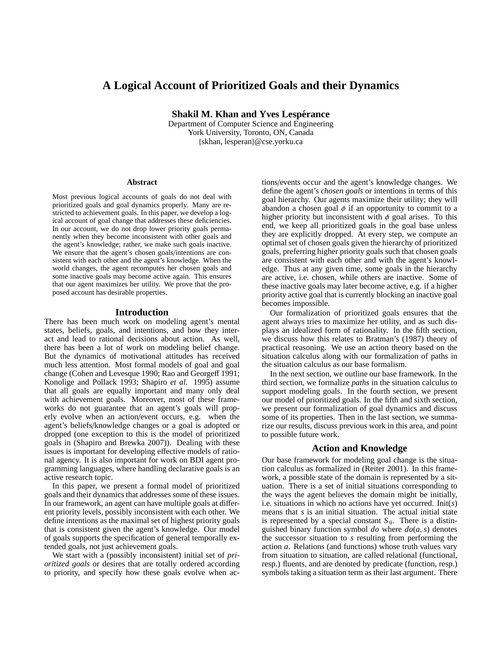# **A Logical Account of Prioritized Goals and their Dynamics**

**Shakil M. Khan and Yves Lespérance** 

Department of Computer Science and Engineering York University, Toronto, ON, Canada {skhan, lesperan}@cse.yorku.ca

#### **Abstract**

Most previous logical accounts of goals do not deal with prioritized goals and goal dynamics properly. Many are restricted to achievement goals. In this paper, we develop a logical account of goal change that addresses these deficiencies. In our account, we do not drop lower priority goals permanently when they become inconsistent with other goals and the agent's knowledge; rather, we make such goals inactive. We ensure that the agent's chosen goals/intentions are consistent with each other and the agent's knowledge. When the world changes, the agent recomputes her chosen goals and some inactive goals may become active again. This ensures that our agent maximizes her utility. We prove that the proposed account has desirable properties.

#### **Introduction**

There has been much work on modeling agent's mental states, beliefs, goals, and intentions, and how they interact and lead to rational decisions about action. As well, there has been a lot of work on modeling belief change. But the dynamics of motivational attitudes has received much less attention. Most formal models of goal and goal change (Cohen and Levesque 1990; Rao and Georgeff 1991; Konolige and Pollack 1993; Shapiro *et al.* 1995) assume that all goals are equally important and many only deal with achievement goals. Moreover, most of these frameworks do not guarantee that an agent's goals will properly evolve when an action/event occurs, e.g. when the agent's beliefs/knowledge changes or a goal is adopted or dropped (one exception to this is the model of prioritized goals in (Shapiro and Brewka 2007)). Dealing with these issues is important for developing effective models of rational agency. It is also important for work on BDI agent programming languages, where handling declarative goals is an active research topic.

In this paper, we present a formal model of prioritized goals and their dynamics that addresses some of these issues. In our framework, an agent can have multiple goals at different priority levels, possibly inconsistent with each other. We define intentions as the maximal set of highest priority goals that is consistent given the agent's knowledge. Our model of goals supports the specification of general temporally extended goals, not just achievement goals.

We start with a (possibly inconsistent) initial set of *prioritized goals* or desires that are totally ordered according to priority, and specify how these goals evolve when actions/events occur and the agent's knowledge changes. We define the agent's *chosen goals* or intentions in terms of this goal hierarchy. Our agents maximize their utility; they will abandon a chosen goal  $\phi$  if an opportunity to commit to a higher priority but inconsistent with  $\phi$  goal arises. To this end, we keep all prioritized goals in the goal base unless they are explicitly dropped. At every step, we compute an optimal set of chosen goals given the hierarchy of prioritized goals, preferring higher priority goals such that chosen goals are consistent with each other and with the agent's knowledge. Thus at any given time, some goals in the hierarchy are active, i.e. chosen, while others are inactive. Some of these inactive goals may later become active, e.g. if a higher priority active goal that is currently blocking an inactive goal becomes impossible.

Our formalization of prioritized goals ensures that the agent always tries to maximize her utility, and as such displays an idealized form of rationality. In the fifth section, we discuss how this relates to Bratman's (1987) theory of practical reasoning. We use an action theory based on the situation calculus along with our formalization of paths in the situation calculus as our base formalism.

In the next section, we outline our base framework. In the third section, we formalize *paths* in the situation calculus to support modeling goals. In the fourth section, we present our model of prioritized goals. In the fifth and sixth section, we present our formalization of goal dynamics and discuss some of its properties. Then in the last section, we summarize our results, discuss previous work in this area, and point to possible future work.

#### **Action and Knowledge**

Our base framework for modeling goal change is the situation calculus as formalized in (Reiter 2001). In this framework, a possible state of the domain is represented by a situation. There is a set of initial situations corresponding to the ways the agent believes the domain might be initially, i.e. situations in which no actions have yet occurred. Init(*s*) means that *s* is an initial situation. The actual initial state is represented by a special constant  $S_0$ . There is a distinguished binary function symbol  $do$  where  $do(a, s)$  denotes the successor situation to *s* resulting from performing the action *a*. Relations (and functions) whose truth values vary from situation to situation, are called relational (functional, resp.) fluents, and are denoted by predicate (function, resp.) symbols taking a situation term as their last argument. There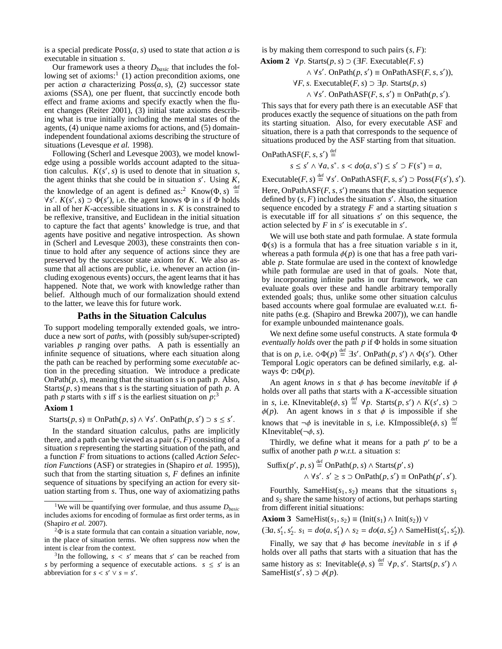is a special predicate  $Poss(a, s)$  used to state that action *a* is executable in situation *s*.

Our framework uses a theory *Dbasic* that includes the following set of axioms:<sup>1</sup> (1) action precondition axioms, one per action *a* characterizing Poss(*a*, *s*), (2) successor state axioms (SSA), one per fluent, that succinctly encode both effect and frame axioms and specify exactly when the fluent changes (Reiter 2001), (3) initial state axioms describing what is true initially including the mental states of the agents, (4) unique name axioms for actions, and (5) domainindependent foundational axioms describing the structure of situations (Levesque *et al.* 1998).

Following (Scherl and Levesque 2003), we model knowledge using a possible worlds account adapted to the situation calculus.  $K(s', s)$  is used to denote that in situation *s*, the agent thinks that she could be in situation  $s'$ . Using  $K$ , the knowledge of an agent is defined as:<sup>2</sup> Know( $\Phi$ , *s*)  $\stackrel{\text{def}}{=}$  $\forall s'$ .  $K(s', s) \supset \Phi(s')$ , i.e. the agent knows  $\Phi$  in *s* if  $\Phi$  holds in all of her *K*-accessible situations in *s*. *K* is constrained to be reflexive, transitive, and Euclidean in the initial situation to capture the fact that agents' knowledge is true, and that agents have positive and negative introspection. As shown in (Scherl and Levesque 2003), these constraints then continue to hold after any sequence of actions since they are preserved by the successor state axiom for *K*. We also assume that all actions are public, i.e. whenever an action (including exogenous events) occurs, the agent learns that it has happened. Note that, we work with knowledge rather than belief. Although much of our formalization should extend to the latter, we leave this for future work.

# **Paths in the Situation Calculus**

To support modeling temporally extended goals, we introduce a new sort of *paths*, with (possibly sub/super-scripted) variables *p* ranging over paths. A path is essentially an infinite sequence of situations, where each situation along the path can be reached by performing some *executable* action in the preceding situation. We introduce a predicate OnPath(*p*, *s*), meaning that the situation *s* is on path *p*. Also, Starts( $p$ ,  $s$ ) means that  $s$  is the starting situation of path  $p$ . A path  $p$  starts with  $s$  iff  $s$  is the earliest situation on  $p:$ <sup>3</sup>

#### **Axiom 1**

 $\text{Starts}(p, s) \equiv \text{OnPath}(p, s) \land \forall s'. \text{OnPath}(p, s') \supset s \leq s'.$ 

In the standard situation calculus, paths are implicitly there, and a path can be viewed as a pair  $(s, F)$  consisting of a situation *s* representing the starting situation of the path, and a function *F* from situations to actions (called *Action Selection Functions* (ASF) or strategies in (Shapiro *et al.* 1995)), such that from the starting situation *s*, *F* defines an infinite sequence of situations by specifying an action for every situation starting from *s*. Thus, one way of axiomatizing paths is by making them correspond to such pairs  $(s, F)$ :

**Axiom 2** 
$$
\forall p
$$
.  $\text{Starts}(p, s) \supset (\exists F. \text{ Executive}(F, s)$   
 $\land \forall s'$ .  $\text{OnPath}(p, s') \equiv \text{OnPathASF}(F, s, s'))$ ,  
 $\forall F, s. \text{Executeable}(F, s) \supset \exists p. \text{Starts}(p, s)$   
 $\land \forall s'$ .  $\text{OnPathASF}(F, s, s') \equiv \text{OnPath}(p, s').$ 

This says that for every path there is an executable ASF that produces exactly the sequence of situations on the path from its starting situation. Also, for every executable ASF and situation, there is a path that corresponds to the sequence of situations produced by the ASF starting from that situation.

OnPathASF(F, s, s') 
$$
\stackrel{\text{def}}{=}
$$
  
 $s \leq s' \land \forall a, s^*, s < do(a, s^*) \leq s' \supset F(s^*) = a$ ,

Executable(*F*, *s*)  $\stackrel{\text{def}}{=} \forall s'$ . OnPathASF(*F*, *s*, *s'*)  $\supset \text{Poss}(F(s'), s')$ . Here, OnPath $ASF(F, s, s')$  means that the situation sequence defined by  $(s, F)$  includes the situation  $s'$ . Also, the situation sequence encoded by a strategy *F* and a starting situation *s* is executable iff for all situations *s'* on this sequence, the action selected by  $F$  in  $s'$  is executable in  $s'$ .

We will use both state and path formulae. A state formula Φ(*s*) is a formula that has a free situation variable *s* in it, whereas a path formula  $\phi(p)$  is one that has a free path variable *p*. State formulae are used in the context of knowledge while path formulae are used in that of goals. Note that, by incorporating infinite paths in our framework, we can evaluate goals over these and handle arbitrary temporally extended goals; thus, unlike some other situation calculus based accounts where goal formulae are evaluated w.r.t. finite paths (e.g. (Shapiro and Brewka 2007)), we can handle for example unbounded maintenance goals.

We next define some useful constructs. A state formula Φ *eventually holds* over the path *p* if Φ holds in some situation that is on *p*, i.e.  $\Diamond \Phi(p) \stackrel{\text{def}}{=} \exists s'$ . OnPath $(p, s') \land \Phi(s')$ . Other Temporal Logic operators can be defined similarly, e.g. always  $Φ$ : □ $Φ(p)$ .

An agent *knows* in *s* that  $\phi$  has become *inevitable* if  $\phi$ holds over all paths that starts with a *K*-accessible situation in *s*, i.e. KInevitable( $\phi$ , *s*)  $\stackrel{\text{def}}{=} \forall p$ . Starts(*p*, *s*<sup>*'*</sup>) ∧ *K*(*s*<sup>*'*</sup>, *s*) ⊃  $\phi(p)$ . An agent knows in *s* that  $\phi$  is impossible if she knows that  $\neg \phi$  is inevitable in *s*, i.e. KImpossible( $\phi$ , *s*)  $\stackrel{\text{def}}{=}$ KInevitable(¬φ, *s*).

Thirdly, we define what it means for a path  $p'$  to be a suffix of another path *p* w.r.t. a situation *s*:

Suffix(
$$
p'
$$
,  $p$ ,  $s$ )  $\stackrel{\text{def}}{=} \text{OnPath}(p, s) \land \text{Starts}(p', s)$   
∧ ∀ $s'$ .  $s' \geq s \supset \text{OnPath}(p, s') \equiv \text{OnPath}(p', s').$ 

Fourthly, SameHist( $s_1$ ,  $s_2$ ) means that the situations  $s_1$ and *s*<sup>2</sup> share the same history of actions, but perhaps starting from different initial situations:

**Axiom 3** SameHist( $s_1, s_2$ ) = (Init( $s_1$ ) ∧ Init( $s_2$ )) ∨  $(\exists a, s'_1, s'_2, s_1 = do(a, s'_1) \land s_2 = do(a, s'_2) \land \text{SameHist}(s'_1, s'_2)).$ 

Finally, we say that  $\phi$  has become *inevitable* in *s* if  $\phi$ holds over all paths that starts with a situation that has the same history as *s*: Inevitable( $\phi$ , *s*)  $\stackrel{\text{def}}{=} \forall p, s'$ . Starts( $p, s'$ )  $\land$ SameHist( $s^{\prime}$ ,  $s$ )  $\supset \phi(p)$ .

<sup>1</sup>We will be quantifying over formulae, and thus assume *Dbasic* includes axioms for encoding of formulae as first order terms, as in (Shapiro *et al.* 2007).

<sup>2</sup>Φ is a state formula that can contain a situation variable, *now*, in the place of situation terms. We often suppress *now* when the intent is clear from the context.

<sup>&</sup>lt;sup>3</sup>In the following,  $s < s'$  means that  $s'$  can be reached from *s* by performing a sequence of executable actions.  $s \leq s'$  is an abbreviation for  $s < s' \vee s = s'$ .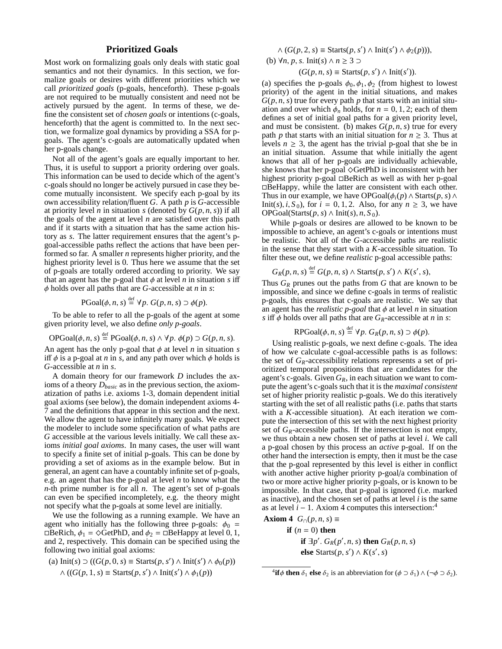# **Prioritized Goals**

Most work on formalizing goals only deals with static goal semantics and not their dynamics. In this section, we formalize goals or desires with different priorities which we call *prioritized goals* (p-goals, henceforth). These p-goals are not required to be mutually consistent and need not be actively pursued by the agent. In terms of these, we define the consistent set of *chosen goals* or intentions (c-goals, henceforth) that the agent is committed to. In the next section, we formalize goal dynamics by providing a SSA for pgoals. The agent's c-goals are automatically updated when her p-goals change.

Not all of the agent's goals are equally important to her. Thus, it is useful to support a priority ordering over goals. This information can be used to decide which of the agent's c-goals should no longer be actively pursued in case they become mutually inconsistent. We specify each p-goal by its own accessibility relation/fluent *G*. A path *p* is *G*-accessible at priority level *n* in situation *s* (denoted by  $G(p, n, s)$ ) if all the goals of the agent at level *n* are satisfied over this path and if it starts with a situation that has the same action history as *s*. The latter requirement ensures that the agent's pgoal-accessible paths reflect the actions that have been performed so far. A smaller *n* represents higher priority, and the highest priority level is 0. Thus here we assume that the set of p-goals are totally ordered according to priority. We say that an agent has the p-goal that  $\phi$  at level *n* in situation *s* iff φ holds over all paths that are *G*-accessible at *n* in *s*:

$$
\text{PGoal}(\phi, n, s) \stackrel{\text{def}}{=} \forall p. \ G(p, n, s) \supset \phi(p).
$$

To be able to refer to all the p-goals of the agent at some given priority level, we also define *only p-goals*.

$$
\text{OPGoal}(\phi, n, s) \stackrel{\text{def}}{=} \text{PGoal}(\phi, n, s) \land \forall p. \ \phi(p) \supset G(p, n, s).
$$

An agent has the only p-goal that  $\phi$  at level *n* in situation *s* iff  $\phi$  is a p-goal at *n* in *s*, and any path over which  $\phi$  holds is *G*-accessible at *n* in *s*.

A domain theory for our framework *D* includes the axioms of a theory *Dbasic* as in the previous section, the axiomatization of paths i.e. axioms 1-3, domain dependent initial goal axioms (see below), the domain independent axioms 4- 7 and the definitions that appear in this section and the next. We allow the agent to have infinitely many goals. We expect the modeler to include some specification of what paths are *G* accessible at the various levels initially. We call these axioms *initial goal axioms*. In many cases, the user will want to specify a finite set of initial p-goals. This can be done by providing a set of axioms as in the example below. But in general, an agent can have a countably infinite set of p-goals, e.g. an agent that has the p-goal at level *n* to know what the *n*-th prime number is for all *n*. The agent's set of p-goals can even be specified incompletely, e.g. the theory might not specify what the p-goals at some level are initially.

We use the following as a running example. We have an agent who initially has the following three p-goals:  $\phi_0$  =  $\Box$ BeRich,  $\phi_1 = \Diamond$ GetPhD, and  $\phi_2 = \Box$ BeHappy at level 0, 1, and 2, respectively. This domain can be specified using the following two initial goal axioms:

(a) 
$$
\text{Init}(s) \supset ((G(p, 0, s) \equiv \text{Starts}(p, s') \land \text{Init}(s') \land \phi_0(p))
$$
  
  $\land ((G(p, 1, s) \equiv \text{Starts}(p, s') \land \text{Init}(s') \land \phi_1(p))$ 

$$
\wedge (G(p, 2, s) \equiv \text{Starts}(p, s') \wedge \text{Init}(s') \wedge \phi_2(p))),
$$
  
(b)  $\forall n, p, s. \text{Init}(s) \wedge n \ge 3 \supset$   

$$
(G(p, n, s) \equiv \text{Starts}(p, s') \wedge \text{Init}(s')).
$$

(a) specifies the p-goals  $\phi_0$ ,  $\phi_1$ ,  $\phi_2$  (from highest to lowest priority) of the agent in the initial situations, and makes  $G(p, n, s)$  true for every path p that starts with an initial situation and over which  $\phi_n$  holds, for  $n = 0, 1, 2$ ; each of them defines a set of initial goal paths for a given priority level, and must be consistent. (b) makes  $G(p, n, s)$  true for every path *p* that starts with an initial situation for  $n \geq 3$ . Thus at levels  $n \geq 3$ , the agent has the trivial p-goal that she be in an initial situation. Assume that while initially the agent knows that all of her p-goals are individually achievable, she knows that her p-goal  $\Diamond$ GetPhD is inconsistent with her highest priority p-goal  $\Box$ BeRich as well as with her p-goal □BeHappy, while the latter are consistent with each other. Thus in our example, we have  $OPGoal(\phi_i(p) \land Starts(p, s) \land$ Init(s),  $i$ ,  $S_0$ ), for  $i = 0, 1, 2$ . Also, for any  $n \ge 3$ , we have OPGoal(Starts( $p$ ,  $s$ ) ∧ Init( $s$ ),  $n$ ,  $S$ <sub>0</sub>).

While p-goals or desires are allowed to be known to be impossible to achieve, an agent's c-goals or intentions must be realistic. Not all of the *G*-accessible paths are realistic in the sense that they start with a *K*-accessible situation. To filter these out, we define *realistic* p-goal accessible paths:

$$
G_R(p,n,s) \stackrel{\text{def}}{=} G(p,n,s) \wedge \text{Starts}(p,s') \wedge K(s',s),
$$

Thus *G<sup>R</sup>* prunes out the paths from *G* that are known to be impossible, and since we define c-goals in terms of realistic p-goals, this ensures that c-goals are realistic. We say that an agent has the *realistic p-goal* that  $\phi$  at level *n* in situation *s* iff  $\phi$  holds over all paths that are  $G_R$ -accessible at *n* in *s*:

$$
RPGoal(\phi, n, s) \stackrel{\text{def}}{=} \forall p. \ G_R(p, n, s) \supset \phi(p).
$$

Using realistic p-goals, we next define c-goals. The idea of how we calculate c-goal-accessible paths is as follows: the set of *GR*-accessibility relations represents a set of prioritized temporal propositions that are candidates for the agent's c-goals. Given  $G_R$ , in each situation we want to compute the agent's c-goals such that it is the *maximal consistent* set of higher priority realistic p-goals. We do this iteratively starting with the set of all realistic paths (i.e. paths that starts with a *K*-accessible situation). At each iteration we compute the intersection of this set with the next highest priority set of  $G_R$ -accessible paths. If the intersection is not empty, we thus obtain a new chosen set of paths at level *i*. We call a p-goal chosen by this process an *active* p-goal. If on the other hand the intersection is empty, then it must be the case that the p-goal represented by this level is either in conflict with another active higher priority p-goal/a combination of two or more active higher priority p-goals, or is known to be impossible. In that case, that p-goal is ignored (i.e. marked as inactive), and the chosen set of paths at level *i* is the same as at level  $i - 1$ . Axiom 4 computes this intersection:<sup>4</sup>

**Axiom 4** 
$$
G_{\cap}(p, n, s) \equiv
$$
  
**if**  $(n = 0)$  **then**

**if**  $\exists p'$ .  $G_R(p', n, s)$  **then**  $G_R(p, n, s)$ **else** Starts(*p*, *s*<sup> $′$ </sup>) ∧ *K*(*s*<sup> $′$ </sup>, *s*)

<sup>&</sup>lt;sup>4</sup>**if** $\phi$  **then**  $\delta_1$  **else**  $\delta_2$  is an abbreviation for ( $\phi \supset \delta_1$ ) ∧ (¬ $\phi \supset \delta_2$ ).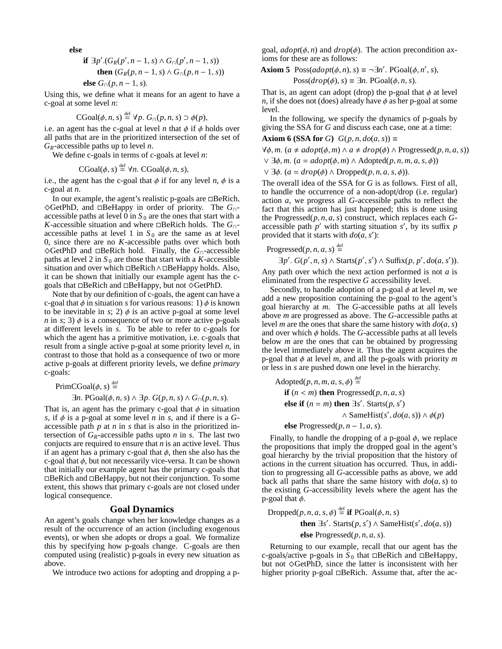**else**

**if** 
$$
\exists p' . (G_R(p', n-1, s) \land G_{\cap}(p', n-1, s))
$$
  
**then**  $(G_R(p, n-1, s) \land G_{\cap}(p, n-1, s))$   
**else**  $G_{\cap}(p, n-1, s)$ .

Using this, we define what it means for an agent to have a c-goal at some level *n*:

$$
CGoal(\phi, n, s) \stackrel{\text{def}}{=} \forall p. G_{\cap}(p, n, s) \supset \phi(p),
$$

i.e. an agent has the c-goal at level *n* that  $\phi$  if  $\phi$  holds over all paths that are in the prioritized intersection of the set of *GR*-accessible paths up to level *n*.

We define c-goals in terms of c-goals at level *n*:

 $CGoal(\phi, s) \stackrel{\text{def}}{=} \forall n. CGoal(\phi, n, s),$ 

i.e., the agent has the c-goal that  $\phi$  if for any level *n*,  $\phi$  is a c-goal at *n*.

In our example, the agent's realistic p-goals are  $\Box$ BeRich, ^GetPhD, and BeHappy in order of priority. The *G*∩ accessible paths at level 0 in  $S_0$  are the ones that start with a *K*-accessible situation and where  $\Box$  BeRich holds. The  $G_{\cap}$ accessible paths at level 1 in  $S_0$  are the same as at level 0, since there are no *K*-accessible paths over which both ^GetPhD and BeRich hold. Finally, the *G*∩-accessible paths at level 2 in  $S_0$  are those that start with a *K*-accessible situation and over which  $\Box$ BeRich∧ $\Box$ BeHappy holds. Also, it can be shown that initially our example agent has the cgoals that  $\Box$ BeRich and  $\Box$ BeHappy, but not  $\Diamond$ GetPhD.

Note that by our definition of c-goals, the agent can have a c-goal that  $\phi$  in situation *s* for various reasons: 1)  $\phi$  is known to be inevitable in *s*; 2)  $\phi$  is an active p-goal at some level *n* in *s*; 3)  $\phi$  is a consequence of two or more active p-goals at different levels in *s*. To be able to refer to c-goals for which the agent has a primitive motivation, i.e. c-goals that result from a single active p-goal at some priority level *n*, in contrast to those that hold as a consequence of two or more active p-goals at different priority levels, we define *primary* c-goals:

$$
PrimCGoal(\phi, s) \stackrel{\text{def}}{=}
$$

 $\exists n$ . PGoal $(\phi, n, s) \wedge \exists p$ .  $G(p, n, s) \wedge G_{\cap}(p, n, s)$ .

That is, an agent has the primary c-goal that  $\phi$  in situation *s*, if  $\phi$  is a p-goal at some level *n* in *s*, and if there is a *G*accessible path *p* at *n* in *s* that is also in the prioritized intersection of  $G_R$ -accessible paths upto *n* in *s*. The last two conjucts are required to ensure that *n* is an active level. Thus if an agent has a primary c-goal that  $\phi$ , then she also has the c-goal that  $\phi$ , but not necessarily vice-versa. It can be shown that initially our example agent has the primary c-goals that  $\Box$ BeRich and  $\Box$ BeHappy, but not their conjunction. To some extent, this shows that primary c-goals are not closed under logical consequence.

# **Goal Dynamics**

An agent's goals change when her knowledge changes as a result of the occurrence of an action (including exogenous events), or when she adopts or drops a goal. We formalize this by specifying how p-goals change. C-goals are then computed using (realistic) p-goals in every new situation as above.

We introduce two actions for adopting and dropping a p-

goal,  $\alpha$ *dopt*( $\phi$ , *n*) and  $\alpha$ *rop*( $\phi$ ). The action precondition axioms for these are as follows:

**Axiom 5** Poss( $adopt(\phi, n)$ ,  $s$ )  $\equiv \neg \exists n'$ . PGoal( $\phi, n'$ ,  $s$ ),

$$
Poss(drop(\phi), s) \equiv \exists n. \text{ PGoal}(\phi, n, s).
$$

That is, an agent can adopt (drop) the p-goal that  $\phi$  at level *n*, if she does not (does) already have  $\phi$  as her p-goal at some level.

In the following, we specify the dynamics of p-goals by giving the SSA for *G* and discuss each case, one at a time:

**Axiom 6 (SSA for** *G*)  $G(p, n, do(a, s)) \equiv$ 

 $\forall \phi, m$ . ( $a \neq adopt(\phi, m) \land a \neq drop(\phi) \land Progressed(p, n, a, s)$ )

 $∨$  ∃ $φ, m$ . (*a* = *adopt*( $φ, m$ ) ∧ Adopted( $p, n, m, a, s, φ$ ))

∨ ∃φ. (*a* = *drop*(φ) ∧ Dropped(*p*, *n*, *a*, *s*, φ)).

The overall idea of the SSA for *G* is as follows. First of all, to handle the occurrence of a non-adopt/drop (i.e. regular) action *a*, we progress all *G*-accessible paths to reflect the fact that this action has just happened; this is done using the Progressed $(p, n, a, s)$  construct, which replaces each  $G$ accessible path  $p'$  with starting situation  $s'$ , by its suffix p provided that it starts with  $do(a, s')$ :

Progressed $(p, n, a, s) \stackrel{\text{def}}{=}$ 

$$
\exists p'.
$$
  $G(p', n, s) \land$  Starts $(p', s') \land$  Suffix $(p, p', do(a, s')).$ 

Any path over which the next action performed is not *a* is eliminated from the respective *G* accessibility level.

Secondly, to handle adoption of a p-goal  $\phi$  at level *m*, we add a new proposition containing the p-goal to the agent's goal hierarchy at *m*. The *G*-accessible paths at all levels above *m* are progressed as above. The *G*-accessible paths at level *m* are the ones that share the same history with  $do(a, s)$ and over which  $\phi$  holds. The *G*-accessible paths at all levels below *m* are the ones that can be obtained by progressing the level immediately above it. Thus the agent acquires the p-goal that  $\phi$  at level *m*, and all the p-goals with priority *m* or less in *s* are pushed down one level in the hierarchy.

Adopted
$$
(p, n, m, a, s, \phi)
$$
  $\stackrel{\text{def}}{=}$   
\n**if**  $(n < m)$  **then** Progressed $(p, n, a, s)$   
\n**else if**  $(n = m)$  **then**  $\exists s'$ .  $\text{Starts}(p, s')$   
\n $\land \text{SameHist}(s', do(a, s)) \land \phi(p)$ 

**else** Progressed $(p, n-1, a, s)$ .

Finally, to handle the dropping of a p-goal  $\phi$ , we replace the propositions that imply the dropped goal in the agent's goal hierarchy by the trivial proposition that the history of actions in the current situation has occurred. Thus, in addition to progressing all *G*-accessible paths as above, we add back all paths that share the same history with  $do(a, s)$  to the existing *G*-accessibility levels where the agent has the p-goal that  $\phi$ .

 $D$ ropped $(p, n, a, s, \phi) \stackrel{\text{def}}{=}$  **if**  $PGoal(\phi, n, s)$ 

**then** ∃*s'*. Starts(*p*, *s'*) ∧ SameHist(*s'*, *do*(*a*, *s*))

else Progressed
$$
(p, n, a, s)
$$
.

Returning to our example, recall that our agent has the c-goals/active p-goals in  $S_0$  that  $\Box$ BeRich and  $\Box$ BeHappy, but not  $\Diamond \text{GetPhD}$ , since the latter is inconsistent with her higher priority p-goal  $\Box$ BeRich. Assume that, after the ac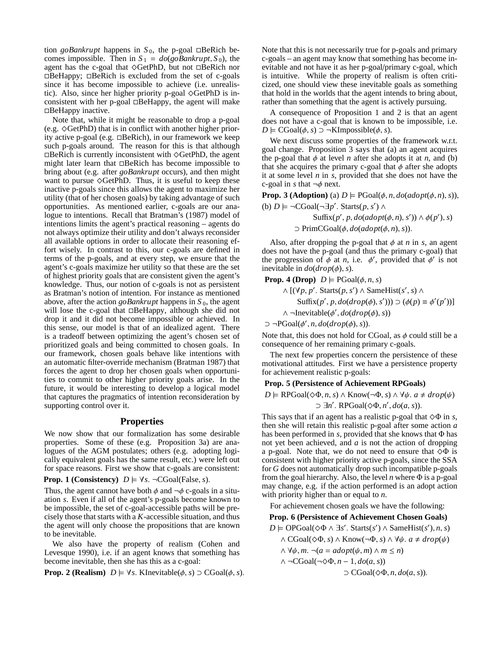tion *goBankrupt* happens in  $S_0$ , the p-goal  $\Box$ BeRich becomes impossible. Then in  $S_1 = do(g_0Bankrupt, S_0)$ , the agent has the c-goal that  $\Diamond \text{GetPhD}$ , but not  $\Box \text{BeRich}$  nor  $\Box$ BeHappy;  $\Box$ BeRich is excluded from the set of c-goals since it has become impossible to achieve (i.e. unrealistic). Also, since her higher priority p-goal  $\Diamond$ GetPhD is inconsistent with her p-goal  $\Box$ BeHappy, the agent will make  $\Box$ BeHappy inactive.

Note that, while it might be reasonable to drop a p-goal (e.g.  $\Diamond$ GetPhD) that is in conflict with another higher priority active p-goal (e.g.  $\Box$ BeRich), in our framework we keep such p-goals around. The reason for this is that although  $\Box$ BeRich is currently inconsistent with  $\Diamond$ GetPhD, the agent might later learn that  $\Box$ BeRich has become impossible to bring about (e.g. after *goBankrupt* occurs), and then might want to pursue  $\Diamond$ GetPhD. Thus, it is useful to keep these inactive p-goals since this allows the agent to maximize her utility (that of her chosen goals) by taking advantage of such opportunities. As mentioned earlier, c-goals are our analogue to intentions. Recall that Bratman's (1987) model of intentions limits the agent's practical reasoning – agents do not always optimize their utility and don't always reconsider all available options in order to allocate their reasoning effort wisely. In contrast to this, our c-goals are defined in terms of the p-goals, and at every step, we ensure that the agent's c-goals maximize her utility so that these are the set of highest priority goals that are consistent given the agent's knowledge. Thus, our notion of c-goals is not as persistent as Bratman's notion of intention. For instance as mentioned above, after the action *goBankrupt* happens in  $S_0$ , the agent will lose the c-goal that  $\Box$ BeHappy, although she did not drop it and it did not become impossible or achieved. In this sense, our model is that of an idealized agent. There is a tradeoff between optimizing the agent's chosen set of prioritized goals and being committed to chosen goals. In our framework, chosen goals behave like intentions with an automatic filter-override mechanism (Bratman 1987) that forces the agent to drop her chosen goals when opportunities to commit to other higher priority goals arise. In the future, it would be interesting to develop a logical model that captures the pragmatics of intention reconsideration by supporting control over it.

# **Properties**

We now show that our formalization has some desirable properties. Some of these (e.g. Proposition 3a) are analogues of the AGM postulates; others (e.g. adopting logically equivalent goals has the same result, etc.) were left out for space reasons. First we show that c-goals are consistent:

**Prop. 1 (Consistency)**  $D \models \forall s$ . ¬CGoal(False, *s*).

Thus, the agent cannot have both  $\phi$  and  $\neg \phi$  c-goals in a situation *s*. Even if all of the agent's p-goals become known to be impossible, the set of c-goal-accessible paths will be precisely those that starts with a *K*-accessible situation, and thus the agent will only choose the propositions that are known to be inevitable.

We also have the property of realism (Cohen and Levesque 1990), i.e. if an agent knows that something has become inevitable, then she has this as a c-goal:

**Prop. 2 (Realism)**  $D \models \forall s$ . KInevitable( $\phi$ , *s*)  $\supset$  CGoal( $\phi$ , *s*).

Note that this is not necessarily true for p-goals and primary c-goals – an agent may know that something has become inevitable and not have it as her p-goal/primary c-goal, which is intuitive. While the property of realism is often criticized, one should view these inevitable goals as something that hold in the worlds that the agent intends to bring about, rather than something that the agent is actively pursuing.

A consequence of Proposition 1 and 2 is that an agent does not have a c-goal that is known to be impossible, i.e. *D*  $\models$  CGoal( $\phi$ , *s*) ⊃ ¬KImpossible( $\phi$ , *s*).

We next discuss some properties of the framework w.r.t. goal change. Proposition 3 says that (a) an agent acquires the p-goal that  $\phi$  at level *n* after she adopts it at *n*, and (b) that she acquires the primary c-goal that  $\phi$  after she adopts it at some level *n* in *s*, provided that she does not have the c-goal in *s* that  $\neg \phi$  next.

**Prop.** 3 (Adoption) (a)  $D \models \text{PGoal}(\phi, n, do(\text{adopt}(\phi, n), s)),$ (b)  $D \models \neg CGoal(\neg \exists p'$ . Starts(*p*, *s'*) ∧

> $\text{Suffix}(p', p, do (adopt(\phi, n), s')) \wedge \phi(p'), s)$  $\supset$  PrimCGoal( $\phi$ ,  $do(adopt(\phi, n), s)$ ).

Also, after dropping the p-goal that  $\phi$  at *n* in *s*, an agent does not have the p-goal (and thus the primary c-goal) that the progression of  $\phi$  at *n*, i.e.  $\phi'$ , provided that  $\phi'$  is not inevitable in *do*(*drop*(φ), *s*).

**Prop. 4 (Drop)**  $D \models \text{PGoal}(\phi, n, s)$ 

$$
\land [(\forall p, p'. \text{Starts}(p, s') \land \text{SameHist}(s', s) \land \text{Suffix}(p', p, do(drop(\phi), s'))) \supset (\phi(p) \equiv \phi'(p'))]
$$
  
 
$$
\land \neg \text{Inevitable}(\phi', do(drop(\phi), s))
$$

 $\supset \neg \text{PGoal}(\phi', n, do(drop(\phi), s)).$ 

Note that, this does not hold for CGoal, as  $\phi$  could still be a consequence of her remaining primary c-goals.

The next few properties concern the persistence of these motivational attitudes. First we have a persistence property for achievement realistic p-goals:

# **Prop. 5 (Persistence of Achievement RPGoals)**

 $D \models \text{RPGoal}(\diamondsuit \Phi, n, s) \land \text{Know}(\neg \Phi, s) \land \forall \psi. \ a \neq drop(\psi)$ 

 $\supset \exists n'. \text{ RPGoal}(\Diamond \Phi, n', do(a, s)).$ 

This says that if an agent has a realistic p-goal that  $\Diamond \Phi$  in *s*, then she will retain this realistic p-goal after some action *a* has been performed in *s*, provided that she knows that  $\Phi$  has not yet been achieved, and *a* is not the action of dropping a p-goal. Note that, we do not need to ensure that  $\Diamond \Phi$  is consistent with higher priority active p-goals, since the SSA for *G* does not automatically drop such incompatible p-goals from the goal hierarchy. Also, the level *n* where Φ is a p-goal may change, e.g. if the action performed is an adopt action with priority higher than or equal to *n*.

For achievement chosen goals we have the following:

#### **Prop. 6 (Persistence of Achievement Chosen Goals)**

 $D \models \text{OPGoal}(\Diamond \Phi \land \exists s'. \text{ starts}(s') \land \text{SameHist}(s'), n, s)$ 

 $∧$  CGoal( $\diamond$ Φ, *s*) ∧ Know(¬Φ, *s*) ∧  $\forall$  $ψ$ . *a*  $\neq$  *drop*( $ψ$ )

∧ ∀ψ, *m*. ¬(*a* = *adopt*(ψ, *m*) ∧ *m* ≤ *n*)

 $\land \neg CGoal(\neg \diamond \Phi, n-1, do(a, s))$ 

 $\supset$  CGoal( $\diamond \Phi$ , *n*, *do*(*a*, *s*)).